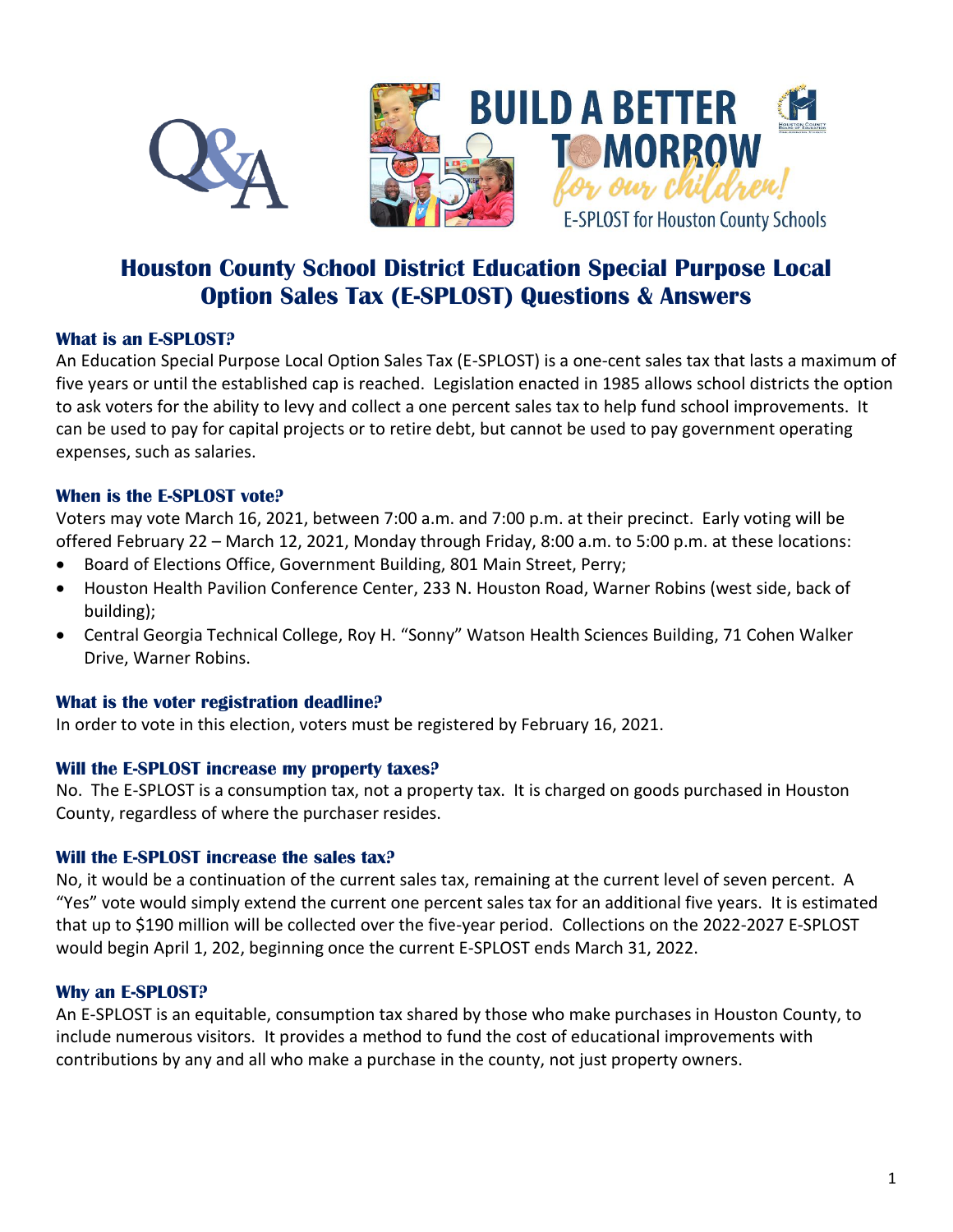

# **Houston County School District Education Special Purpose Local Option Sales Tax (E-SPLOST) Questions & Answers**

## **What is an E-SPLOST?**

An Education Special Purpose Local Option Sales Tax (E-SPLOST) is a one-cent sales tax that lasts a maximum of five years or until the established cap is reached. Legislation enacted in 1985 allows school districts the option to ask voters for the ability to levy and collect a one percent sales tax to help fund school improvements. It can be used to pay for capital projects or to retire debt, but cannot be used to pay government operating expenses, such as salaries.

## **When is the E-SPLOST vote?**

Voters may vote March 16, 2021, between 7:00 a.m. and 7:00 p.m. at their precinct. Early voting will be offered February 22 – March 12, 2021, Monday through Friday, 8:00 a.m. to 5:00 p.m. at these locations:

- Board of Elections Office, Government Building, 801 Main Street, Perry;
- Houston Health Pavilion Conference Center, 233 N. Houston Road, Warner Robins (west side, back of building);
- Central Georgia Technical College, Roy H. "Sonny" Watson Health Sciences Building, 71 Cohen Walker Drive, Warner Robins.

# **What is the voter registration deadline?**

In order to vote in this election, voters must be registered by February 16, 2021.

# **Will the E-SPLOST increase my property taxes?**

No. The E-SPLOST is a consumption tax, not a property tax. It is charged on goods purchased in Houston County, regardless of where the purchaser resides.

# **Will the E-SPLOST increase the sales tax?**

No, it would be a continuation of the current sales tax, remaining at the current level of seven percent. A "Yes" vote would simply extend the current one percent sales tax for an additional five years. It is estimated that up to \$190 million will be collected over the five-year period. Collections on the 2022-2027 E-SPLOST would begin April 1, 202, beginning once the current E-SPLOST ends March 31, 2022.

# **Why an E-SPLOST?**

An E-SPLOST is an equitable, consumption tax shared by those who make purchases in Houston County, to include numerous visitors. It provides a method to fund the cost of educational improvements with contributions by any and all who make a purchase in the county, not just property owners.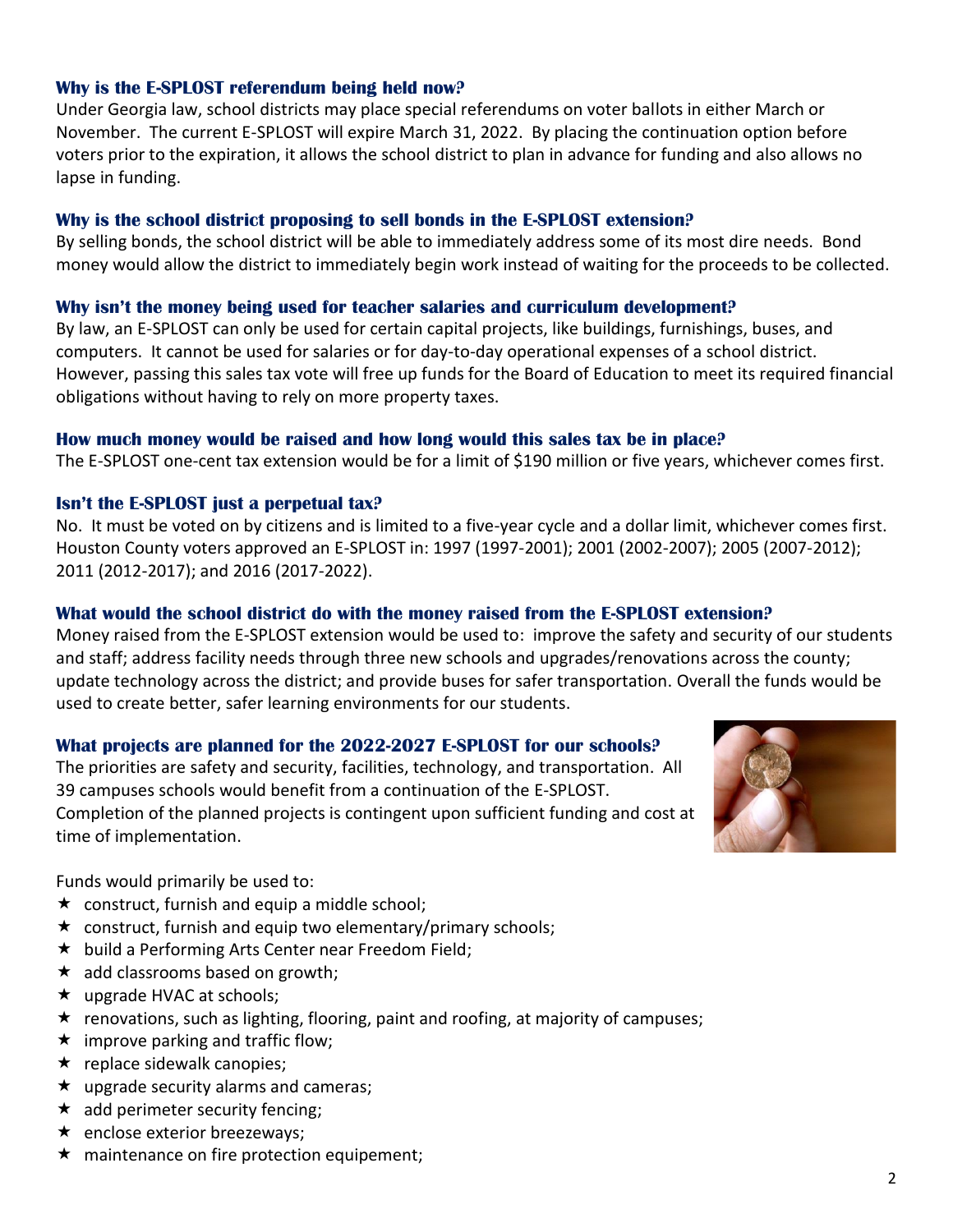## **Why is the E-SPLOST referendum being held now?**

Under Georgia law, school districts may place special referendums on voter ballots in either March or November. The current E-SPLOST will expire March 31, 2022. By placing the continuation option before voters prior to the expiration, it allows the school district to plan in advance for funding and also allows no lapse in funding.

## **Why is the school district proposing to sell bonds in the E-SPLOST extension?**

By selling bonds, the school district will be able to immediately address some of its most dire needs. Bond money would allow the district to immediately begin work instead of waiting for the proceeds to be collected.

## **Why isn't the money being used for teacher salaries and curriculum development?**

By law, an E-SPLOST can only be used for certain capital projects, like buildings, furnishings, buses, and computers. It cannot be used for salaries or for day-to-day operational expenses of a school district. However, passing this sales tax vote will free up funds for the Board of Education to meet its required financial obligations without having to rely on more property taxes.

## **How much money would be raised and how long would this sales tax be in place?**

The E-SPLOST one-cent tax extension would be for a limit of \$190 million or five years, whichever comes first.

## **Isn't the E-SPLOST just a perpetual tax?**

No. It must be voted on by citizens and is limited to a five-year cycle and a dollar limit, whichever comes first. Houston County voters approved an E-SPLOST in: 1997 (1997-2001); 2001 (2002-2007); 2005 (2007-2012); 2011 (2012-2017); and 2016 (2017-2022).

## **What would the school district do with the money raised from the E-SPLOST extension?**

Money raised from the E-SPLOST extension would be used to: improve the safety and security of our students and staff; address facility needs through three new schools and upgrades/renovations across the county; update technology across the district; and provide buses for safer transportation. Overall the funds would be used to create better, safer learning environments for our students.

# **What projects are planned for the 2022-2027 E-SPLOST for our schools?**

The priorities are safety and security, facilities, technology, and transportation. All 39 campuses schools would benefit from a continuation of the E-SPLOST. Completion of the planned projects is contingent upon sufficient funding and cost at time of implementation.



Funds would primarily be used to:

- $\star$  construct, furnish and equip a middle school;
- $\star$  construct, furnish and equip two elementary/primary schools;
- $\star$  build a Performing Arts Center near Freedom Field;
- $\star$  add classrooms based on growth;
- $\star$  upgrade HVAC at schools;
- $\star$  renovations, such as lighting, flooring, paint and roofing, at majority of campuses;
- $\star$  improve parking and traffic flow;
- $\star$  replace sidewalk canopies;
- $\star$  upgrade security alarms and cameras;
- $\star$  add perimeter security fencing;
- $\star$  enclose exterior breezeways:
- $\star$  maintenance on fire protection equipement;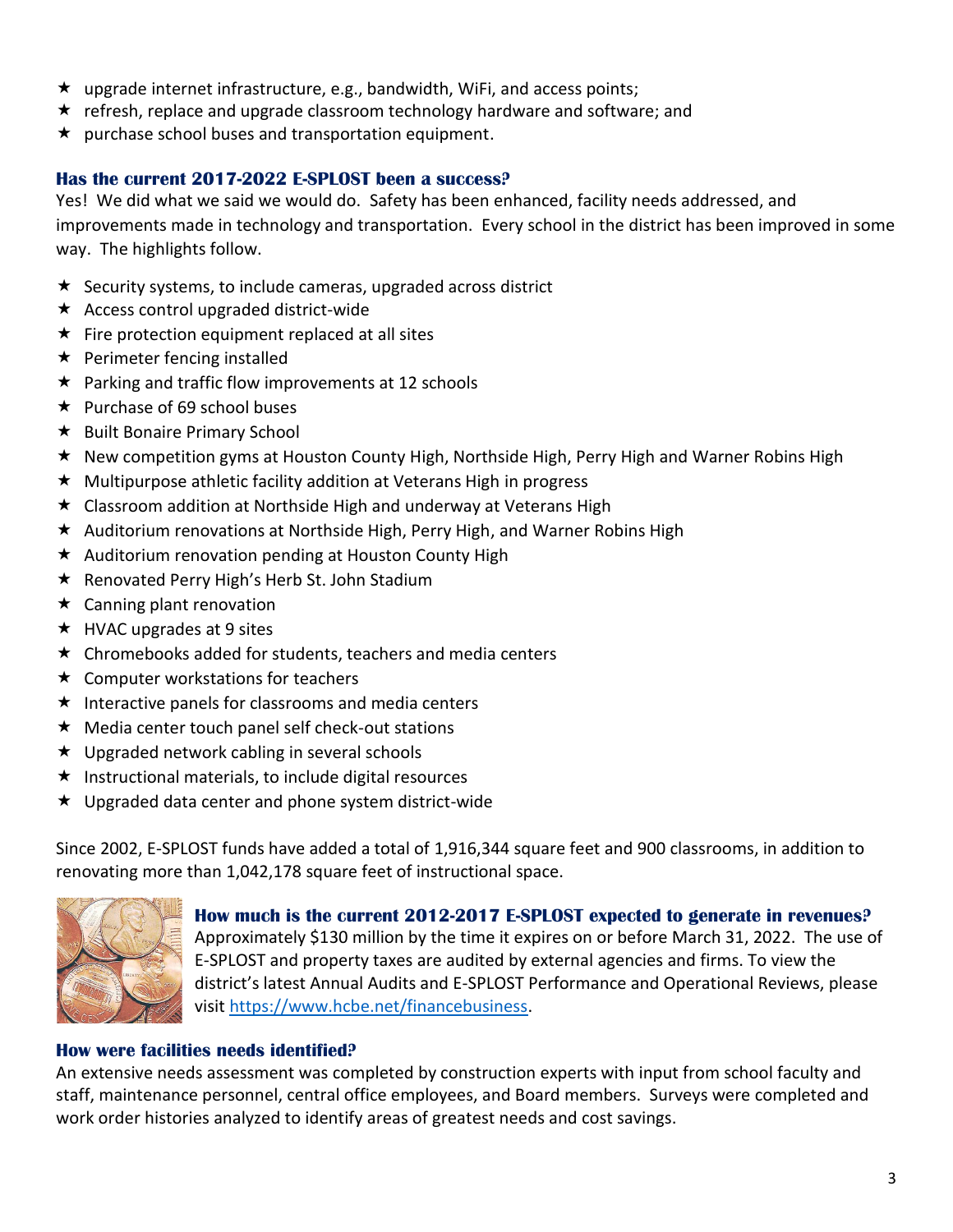- $\star$  upgrade internet infrastructure, e.g., bandwidth, WiFi, and access points;
- $\star$  refresh, replace and upgrade classroom technology hardware and software; and
- $\star$  purchase school buses and transportation equipment.

## **Has the current 2017-2022 E-SPLOST been a success?**

Yes! We did what we said we would do. Safety has been enhanced, facility needs addressed, and improvements made in technology and transportation. Every school in the district has been improved in some way. The highlights follow.

- $\star$  Security systems, to include cameras, upgraded across district
- $\star$  Access control upgraded district-wide
- $\star$  Fire protection equipment replaced at all sites
- $\star$  Perimeter fencing installed
- $\star$  Parking and traffic flow improvements at 12 schools
- $\star$  Purchase of 69 school buses
- $\star$  Built Bonaire Primary School
- $\star$  New competition gyms at Houston County High, Northside High, Perry High and Warner Robins High
- $\star$  Multipurpose athletic facility addition at Veterans High in progress
- $\star$  Classroom addition at Northside High and underway at Veterans High
- \* Auditorium renovations at Northside High, Perry High, and Warner Robins High
- $\star$  Auditorium renovation pending at Houston County High
- $\star$  Renovated Perry High's Herb St. John Stadium
- $\star$  Canning plant renovation
- $\star$  HVAC upgrades at 9 sites
- $\star$  Chromebooks added for students, teachers and media centers
- $\star$  Computer workstations for teachers
- $\star$  Interactive panels for classrooms and media centers
- $\star$  Media center touch panel self check-out stations
- ★ Upgraded network cabling in several schools
- $\star$  Instructional materials, to include digital resources
- $\star$  Upgraded data center and phone system district-wide

Since 2002, E-SPLOST funds have added a total of 1,916,344 square feet and 900 classrooms, in addition to renovating more than 1,042,178 square feet of instructional space.



# **How much is the current 2012-2017 E-SPLOST expected to generate in revenues?**

Approximately \$130 million by the time it expires on or before March 31, 2022. The use of E-SPLOST and property taxes are audited by external agencies and firms. To view the district's latest Annual Audits and E-SPLOST Performance and Operational Reviews, please visit [https://www.hcbe.net/financebusiness.](https://www.hcbe.net/financebusiness)

#### **How were facilities needs identified?**

An extensive needs assessment was completed by construction experts with input from school faculty and staff, maintenance personnel, central office employees, and Board members. Surveys were completed and work order histories analyzed to identify areas of greatest needs and cost savings.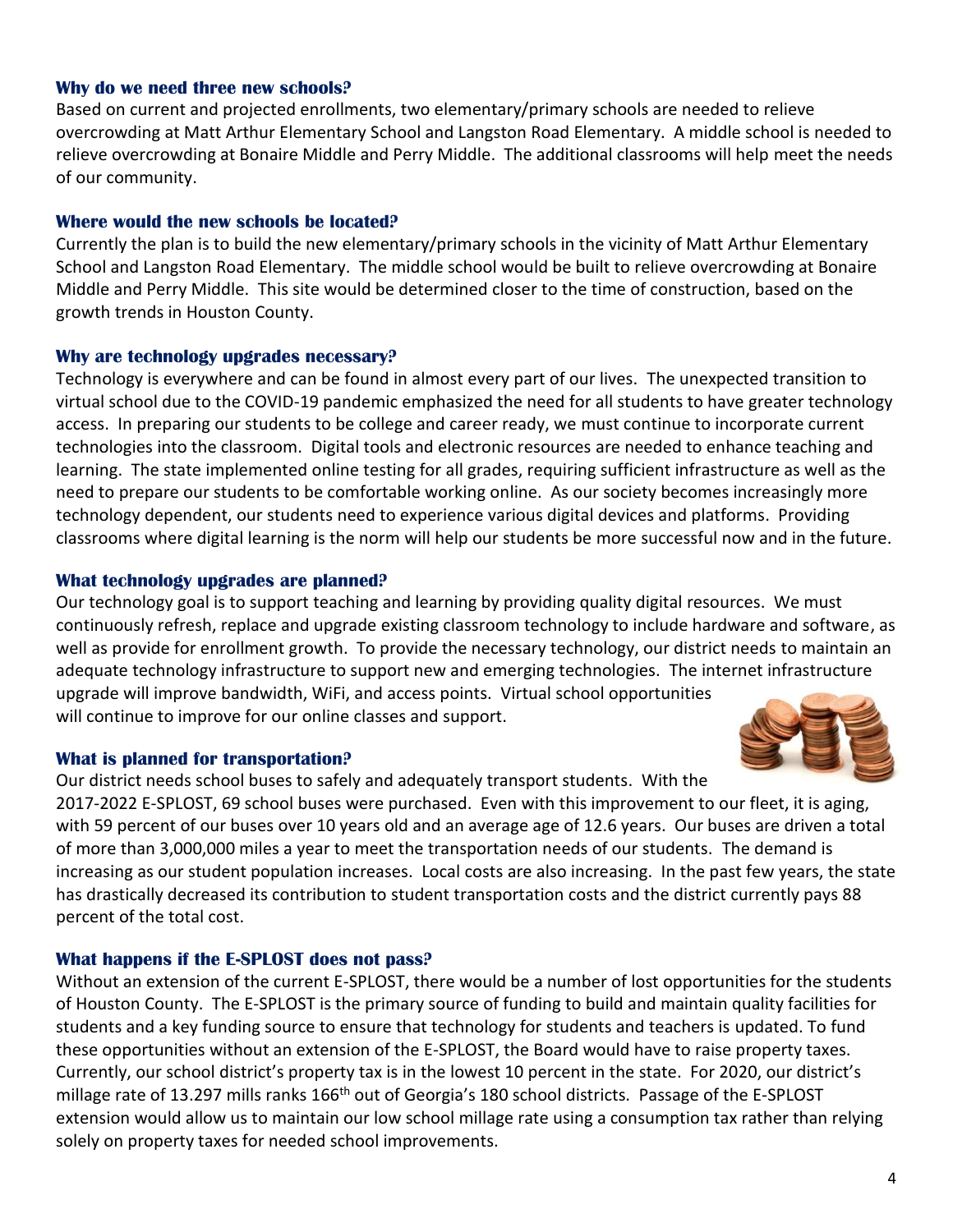#### **Why do we need three new schools?**

Based on current and projected enrollments, two elementary/primary schools are needed to relieve overcrowding at Matt Arthur Elementary School and Langston Road Elementary. A middle school is needed to relieve overcrowding at Bonaire Middle and Perry Middle. The additional classrooms will help meet the needs of our community.

#### **Where would the new schools be located?**

Currently the plan is to build the new elementary/primary schools in the vicinity of Matt Arthur Elementary School and Langston Road Elementary. The middle school would be built to relieve overcrowding at Bonaire Middle and Perry Middle. This site would be determined closer to the time of construction, based on the growth trends in Houston County.

#### **Why are technology upgrades necessary?**

Technology is everywhere and can be found in almost every part of our lives. The unexpected transition to virtual school due to the COVID-19 pandemic emphasized the need for all students to have greater technology access. In preparing our students to be college and career ready, we must continue to incorporate current technologies into the classroom. Digital tools and electronic resources are needed to enhance teaching and learning. The state implemented online testing for all grades, requiring sufficient infrastructure as well as the need to prepare our students to be comfortable working online. As our society becomes increasingly more technology dependent, our students need to experience various digital devices and platforms. Providing classrooms where digital learning is the norm will help our students be more successful now and in the future.

#### **What technology upgrades are planned?**

Our technology goal is to support teaching and learning by providing quality digital resources. We must continuously refresh, replace and upgrade existing classroom technology to include hardware and software, as well as provide for enrollment growth. To provide the necessary technology, our district needs to maintain an adequate technology infrastructure to support new and emerging technologies. The internet infrastructure upgrade will improve bandwidth, WiFi, and access points. Virtual school opportunities will continue to improve for our online classes and support.

#### **What is planned for transportation?**

Our district needs school buses to safely and adequately transport students. With the 2017-2022 E-SPLOST, 69 school buses were purchased. Even with this improvement to our fleet, it is aging, with 59 percent of our buses over 10 years old and an average age of 12.6 years. Our buses are driven a total of more than 3,000,000 miles a year to meet the transportation needs of our students. The demand is increasing as our student population increases. Local costs are also increasing. In the past few years, the state has drastically decreased its contribution to student transportation costs and the district currently pays 88 percent of the total cost.

#### **What happens if the E-SPLOST does not pass?**

Without an extension of the current E-SPLOST, there would be a number of lost opportunities for the students of Houston County. The E-SPLOST is the primary source of funding to build and maintain quality facilities for students and a key funding source to ensure that technology for students and teachers is updated. To fund these opportunities without an extension of the E-SPLOST, the Board would have to raise property taxes. Currently, our school district's property tax is in the lowest 10 percent in the state. For 2020, our district's millage rate of 13.297 mills ranks 166<sup>th</sup> out of Georgia's 180 school districts. Passage of the E-SPLOST extension would allow us to maintain our low school millage rate using a consumption tax rather than relying solely on property taxes for needed school improvements.